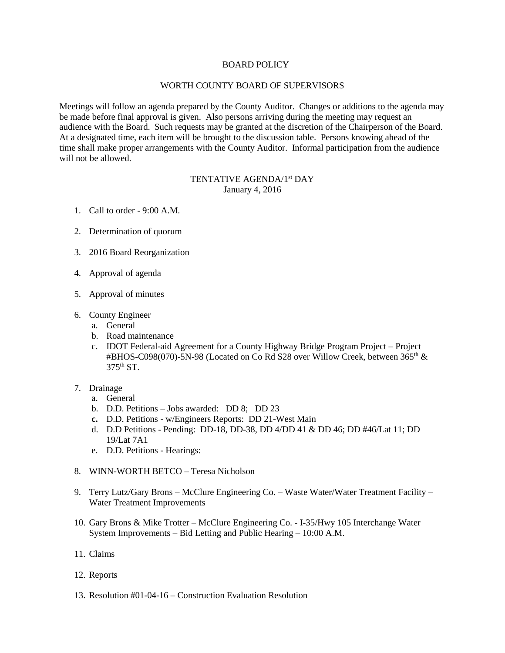## BOARD POLICY

## WORTH COUNTY BOARD OF SUPERVISORS

Meetings will follow an agenda prepared by the County Auditor. Changes or additions to the agenda may be made before final approval is given. Also persons arriving during the meeting may request an audience with the Board. Such requests may be granted at the discretion of the Chairperson of the Board. At a designated time, each item will be brought to the discussion table. Persons knowing ahead of the time shall make proper arrangements with the County Auditor. Informal participation from the audience will not be allowed.

## TENTATIVE AGENDA/1<sup>st</sup> DAY January 4, 2016

- 1. Call to order 9:00 A.M.
- 2. Determination of quorum
- 3. 2016 Board Reorganization
- 4. Approval of agenda
- 5. Approval of minutes
- 6. County Engineer
	- a. General
	- b. Road maintenance
	- c. IDOT Federal-aid Agreement for a County Highway Bridge Program Project Project #BHOS-C098(070)-5N-98 (Located on Co Rd S28 over Willow Creek, between  $365<sup>th</sup>$  & 375th ST.
- 7. Drainage
	- a. General
	- b. D.D. Petitions Jobs awarded: DD 8; DD 23
	- **c.** D.D. Petitions w/Engineers Reports: DD 21-West Main
	- d. D.D Petitions Pending: DD-18, DD-38, DD 4/DD 41 & DD 46; DD #46/Lat 11; DD 19/Lat 7A1
	- e. D.D. Petitions Hearings:
- 8. WINN-WORTH BETCO Teresa Nicholson
- 9. Terry Lutz/Gary Brons McClure Engineering Co. Waste Water/Water Treatment Facility Water Treatment Improvements
- 10. Gary Brons & Mike Trotter McClure Engineering Co. I-35/Hwy 105 Interchange Water System Improvements – Bid Letting and Public Hearing – 10:00 A.M.
- 11. Claims
- 12. Reports
- 13. Resolution #01-04-16 Construction Evaluation Resolution